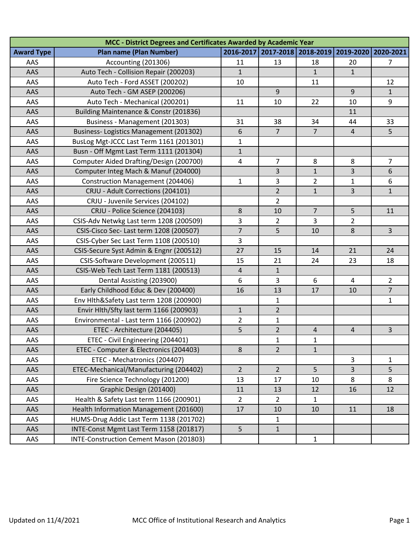| MCC - District Degrees and Certificates Awarded by Academic Year |                                         |                |                |                |                         |                |  |
|------------------------------------------------------------------|-----------------------------------------|----------------|----------------|----------------|-------------------------|----------------|--|
| <b>Award Type</b>                                                | <b>Plan name (Plan Number)</b>          | 2016-2017      | 2017-2018      | 2018-2019      | 2019-2020               | 2020-2021      |  |
| AAS                                                              | Accounting (201306)                     | 11             | 13             | 18             | 20                      | 7              |  |
| AAS                                                              | Auto Tech - Collision Repair (200203)   | $\mathbf{1}$   |                | $\mathbf{1}$   | $\mathbf{1}$            |                |  |
| AAS                                                              | Auto Tech - Ford ASSET (200202)         | 10             |                | 11             |                         | 12             |  |
| AAS                                                              | Auto Tech - GM ASEP (200206)            |                | 9              |                | 9                       | $\mathbf{1}$   |  |
| AAS                                                              | Auto Tech - Mechanical (200201)         | 11             | 10             | 22             | 10                      | 9              |  |
| AAS                                                              | Building Maintenance & Constr (201836)  |                |                |                | 11                      |                |  |
| AAS                                                              | Business - Management (201303)          | 31             | 38             | 34             | 44                      | 33             |  |
| AAS                                                              | Business-Logistics Management (201302)  | 6              | $\overline{7}$ | $\overline{7}$ | $\overline{\mathbf{4}}$ | 5              |  |
| AAS                                                              | BusLog Mgt-JCCC Last Term 1161 (201301) | $\mathbf{1}$   |                |                |                         |                |  |
| AAS                                                              | Busn - Off Mgmt Last Term 1111 (201304) | $\mathbf{1}$   |                |                |                         |                |  |
| AAS                                                              | Computer Aided Drafting/Design (200700) | 4              | 7              | 8              | 8                       | $\overline{7}$ |  |
| AAS                                                              | Computer Integ Mach & Manuf (204000)    |                | 3              | $\mathbf{1}$   | 3                       | 6              |  |
| AAS                                                              | Construction Management (204406)        | $\mathbf 1$    | 3              | $\overline{2}$ | $\mathbf{1}$            | 6              |  |
| AAS                                                              | CRJU - Adult Corrections (204101)       |                | $\overline{2}$ | $\mathbf{1}$   | 3                       | $\mathbf{1}$   |  |
| AAS                                                              | CRJU - Juvenile Services (204102)       |                | $\overline{2}$ |                |                         |                |  |
| AAS                                                              | CRJU - Police Science (204103)          | 8              | 10             | $\overline{7}$ | 5                       | 11             |  |
| AAS                                                              | CSIS-Adv Netwkg Last term 1208 (200509) | 3              | $\overline{2}$ | 3              | $\overline{2}$          |                |  |
| AAS                                                              | CSIS-Cisco Sec- Last term 1208 (200507) | $\overline{7}$ | 5              | 10             | 8                       | $\overline{3}$ |  |
| AAS                                                              | CSIS-Cyber Sec Last Term 1108 (200510)  | 3              |                |                |                         |                |  |
| AAS                                                              | CSIS-Secure Syst Admin & Engnr (200512) | 27             | 15             | 14             | 21                      | 24             |  |
| AAS                                                              | CSIS-Software Development (200511)      | 15             | 21             | 24             | 23                      | 18             |  |
| AAS                                                              | CSIS-Web Tech Last Term 1181 (200513)   | $\overline{4}$ | $\mathbf{1}$   |                |                         |                |  |
| AAS                                                              | Dental Assisting (203900)               | 6              | 3              | 6              | 4                       | $\overline{2}$ |  |
| <b>AAS</b>                                                       | Early Childhood Educ & Dev (200400)     | 16             | 13             | 17             | 10                      | $\overline{7}$ |  |
| AAS                                                              | Env Hlth&Safety Last term 1208 (200900) |                | 1              |                |                         | $\mathbf{1}$   |  |
| AAS                                                              | Envir Hlth/Sfty last term 1166 (200903) | $\mathbf{1}$   | $\overline{2}$ |                |                         |                |  |
| AAS                                                              | Environmental - Last term 1166 (200902) | $\overline{2}$ | $\mathbf{1}$   |                |                         |                |  |
| AAS                                                              | ETEC - Architecture (204405)            | 5              | $\overline{2}$ | 4              | 4                       | 3              |  |
| AAS                                                              | ETEC - Civil Engineering (204401)       |                | $\mathbf{1}$   | $\mathbf{1}$   |                         |                |  |
| AAS                                                              | ETEC - Computer & Electronics (204403)  | 8              | $\overline{2}$ | $\mathbf{1}$   |                         |                |  |
| AAS                                                              | ETEC - Mechatronics (204407)            |                |                |                | 3                       | $\mathbf{1}$   |  |
| AAS                                                              | ETEC-Mechanical/Manufacturing (204402)  | $\overline{2}$ | $\overline{2}$ | 5              | 3                       | 5              |  |
| AAS                                                              | Fire Science Technology (201200)        | 13             | 17             | 10             | 8                       | 8              |  |
| AAS                                                              | Graphic Design (201400)                 | 11             | 13             | 12             | 16                      | 12             |  |
| AAS                                                              | Health & Safety Last term 1166 (200901) | $\overline{2}$ | $\overline{2}$ | $\mathbf{1}$   |                         |                |  |
| AAS                                                              | Health Information Management (201600)  | 17             | 10             | 10             | 11                      | 18             |  |
| AAS                                                              | HUMS-Drug Addic Last Term 1138 (201702) |                | 1              |                |                         |                |  |
| AAS                                                              | INTE-Const Mgmt Last Term 1158 (201817) | 5              | $\mathbf{1}$   |                |                         |                |  |
| AAS                                                              | INTE-Construction Cement Mason (201803) |                |                | $\mathbf{1}$   |                         |                |  |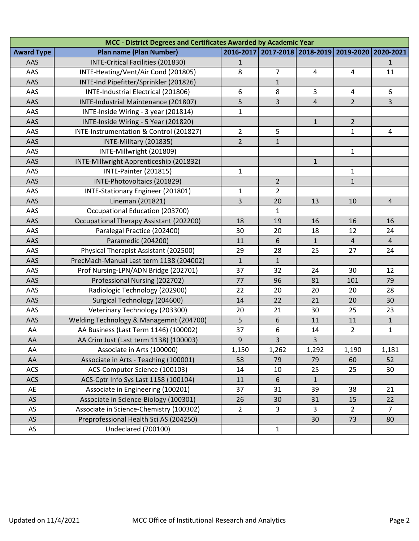| MCC - District Degrees and Certificates Awarded by Academic Year |                                         |                  |                |              |                |                |  |
|------------------------------------------------------------------|-----------------------------------------|------------------|----------------|--------------|----------------|----------------|--|
| <b>Award Type</b>                                                | <b>Plan name (Plan Number)</b>          | 2016-2017        | 2017-2018      | 2018-2019    | 2019-2020      | 2020-2021      |  |
| AAS                                                              | INTE-Critical Facilities (201830)       | 1                |                |              |                | 1              |  |
| AAS                                                              | INTE-Heating/Vent/Air Cond (201805)     | 8                | $\overline{7}$ | 4            | 4              | 11             |  |
| AAS                                                              | INTE-Ind Pipefitter/Sprinkler (201826)  |                  | $\mathbf{1}$   |              |                |                |  |
| AAS                                                              | INTE-Industrial Electrical (201806)     | 6                | 8              | 3            | $\overline{a}$ | 6              |  |
| AAS                                                              | INTE-Industrial Maintenance (201807)    | 5                | 3              | 4            | $\overline{2}$ | 3              |  |
| AAS                                                              | INTE-Inside Wiring - 3 year (201814)    | $\mathbf 1$      |                |              |                |                |  |
| AAS                                                              | INTE-Inside Wiring - 5 Year (201820)    |                  |                | $\mathbf{1}$ | $\overline{2}$ |                |  |
| AAS                                                              | INTE-Instrumentation & Control (201827) | $\overline{2}$   | 5              |              | $\mathbf{1}$   | 4              |  |
| AAS                                                              | INTE-Military (201835)                  | $\overline{2}$   | $\mathbf{1}$   |              |                |                |  |
| AAS                                                              | INTE-Millwright (201809)                |                  |                |              | $\mathbf{1}$   |                |  |
| AAS                                                              | INTE-Millwright Apprenticeship (201832) |                  |                | $\mathbf{1}$ |                |                |  |
| AAS                                                              | INTE-Painter (201815)                   | $\mathbf 1$      |                |              | 1              |                |  |
| AAS                                                              | INTE-Photovoltaics (201829)             |                  | $\overline{2}$ |              | $\mathbf{1}$   |                |  |
| AAS                                                              | INTE-Stationary Engineer (201801)       | 1                | $\overline{2}$ |              |                |                |  |
| AAS                                                              | Lineman (201821)                        | 3                | 20             | 13           | 10             | $\overline{4}$ |  |
| AAS                                                              | Occupational Education (203700)         |                  | 1              |              |                |                |  |
| AAS                                                              | Occupational Therapy Assistant (202200) | 18               | 19             | 16           | 16             | 16             |  |
| AAS                                                              | Paralegal Practice (202400)             | 30               | 20             | 18           | 12             | 24             |  |
| AAS                                                              | Paramedic (204200)                      | 11               | 6              | $\mathbf{1}$ | $\overline{4}$ | $\overline{4}$ |  |
| AAS                                                              | Physical Therapist Assistant (202500)   | 29               | 28             | 25           | 27             | 24             |  |
| AAS                                                              | PrecMach-Manual Last term 1138 (204002) | $\mathbf{1}$     | $\mathbf{1}$   |              |                |                |  |
| AAS                                                              | Prof Nursing-LPN/ADN Bridge (202701)    | 37               | 32             | 24           | 30             | 12             |  |
| AAS                                                              | Professional Nursing (202702)           | 77               | 96             | 81           | 101            | 79             |  |
| AAS                                                              | Radiologic Technology (202900)          | 22               | 20             | 20           | 20             | 28             |  |
| AAS                                                              | Surgical Technology (204600)            | 14               | 22             | 21           | 20             | 30             |  |
| AAS                                                              | Veterinary Technology (203300)          | 20               | 21             | 30           | 25             | 23             |  |
| AAS                                                              | Welding Technology & Managemnt (204700) | 5                | 6              | 11           | 11             | $\mathbf{1}$   |  |
| AA                                                               | AA Business (Last Term 1146) (100002)   | 37               | 6              | 14           | $\overline{2}$ | $\mathbf{1}$   |  |
| AA                                                               | AA Crim Just (Last term 1138) (100003)  | $\boldsymbol{9}$ | 3              | 3            |                |                |  |
| AA                                                               | Associate in Arts (100000)              | 1,150            | 1,262          | 1,292        | 1,190          | 1,181          |  |
| AA                                                               | Associate in Arts - Teaching (100001)   | 58               | 79             | 79           | 60             | 52             |  |
| <b>ACS</b>                                                       | ACS-Computer Science (100103)           | 14               | 10             | 25           | 25             | 30             |  |
| <b>ACS</b>                                                       | ACS-Cptr Info Sys Last 1158 (100104)    | 11               | 6              | $\mathbf{1}$ |                |                |  |
| AE                                                               | Associate in Engineering (100201)       | 37               | 31             | 39           | 38             | 21             |  |
| AS                                                               | Associate in Science-Biology (100301)   | 26               | 30             | 31           | 15             | 22             |  |
| <b>AS</b>                                                        | Associate in Science-Chemistry (100302) | $\overline{2}$   | 3              | 3            | $\overline{2}$ | $\overline{7}$ |  |
| <b>AS</b>                                                        | Preprofessional Health Sci AS (204250)  |                  |                | 30           | 73             | 80             |  |
| AS                                                               | Undeclared (700100)                     |                  | $\mathbf{1}$   |              |                |                |  |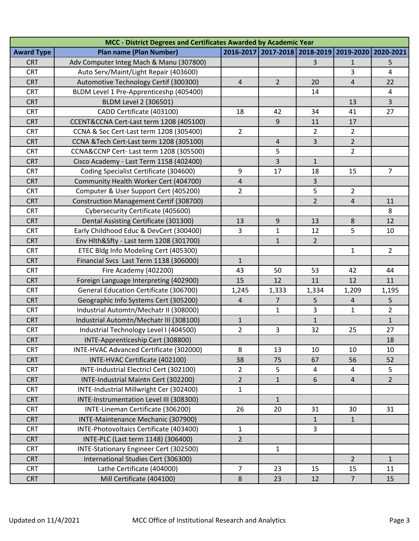| MCC - District Degrees and Certificates Awarded by Academic Year |                                               |                |                |                |                |                |  |  |
|------------------------------------------------------------------|-----------------------------------------------|----------------|----------------|----------------|----------------|----------------|--|--|
| <b>Award Type</b>                                                | <b>Plan name (Plan Number)</b>                | 2016-2017      | 2017-2018      | 2018-2019      | 2019-2020      | 2020-2021      |  |  |
| <b>CRT</b>                                                       | Adv Computer Integ Mach & Manu (307800)       |                |                | 3              | $\mathbf{1}$   | 5              |  |  |
| <b>CRT</b>                                                       | Auto Serv/Maint/Light Repair (403600)         |                |                |                | 3              | $\overline{4}$ |  |  |
| <b>CRT</b>                                                       | Automotive Technology Certif (300300)         | $\overline{4}$ | $\overline{2}$ | 20             | $\overline{4}$ | 22             |  |  |
| <b>CRT</b>                                                       | BLDM Level 1 Pre-Apprenticeshp (405400)       |                |                | 14             |                | $\overline{4}$ |  |  |
| <b>CRT</b>                                                       | BLDM Level 2 (306501)                         |                |                |                | 13             | $\overline{3}$ |  |  |
| <b>CRT</b>                                                       | CADD Certificate (403100)                     | 18             | 42             | 34             | 41             | 27             |  |  |
| <b>CRT</b>                                                       | CCENT&CCNA Cert-Last term 1208 (405100)       |                | 9              | 11             | 17             |                |  |  |
| <b>CRT</b>                                                       | CCNA & Sec Cert-Last term 1208 (305400)       | $\overline{2}$ |                | $\overline{2}$ | $\overline{2}$ |                |  |  |
| <b>CRT</b>                                                       | CCNA &Tech Cert-Last term 1208 (305100)       |                | 4              | 3              | $\overline{2}$ |                |  |  |
| <b>CRT</b>                                                       | CCNA&CCNP Cert- Last term 1208 (305500)       |                | 5              |                | $\overline{2}$ |                |  |  |
| <b>CRT</b>                                                       | Cisco Academy - Last Term 1158 (402400)       |                | 3              | $\mathbf{1}$   |                |                |  |  |
| <b>CRT</b>                                                       | Coding Specialist Certificate (304600)        | 9              | 17             | 18             | 15             | $\overline{7}$ |  |  |
| <b>CRT</b>                                                       | Community Health Worker Cert (404700)         | 4              |                | 3              |                |                |  |  |
| <b>CRT</b>                                                       | Computer & User Support Cert (405200)         | $\overline{2}$ |                | 5              | $\overline{2}$ |                |  |  |
| <b>CRT</b>                                                       | Construction Management Certif (308700)       |                |                | $\overline{2}$ | $\overline{4}$ | 11             |  |  |
| <b>CRT</b>                                                       | Cybersecurity Certificate (405600)            |                |                |                |                | 8              |  |  |
| <b>CRT</b>                                                       | Dental Assisting Certificate (301300)         | 13             | 9              | 13             | 8              | 12             |  |  |
| <b>CRT</b>                                                       | Early Childhood Educ & DevCert (300400)       | 3              | 1              | 12             | 5              | 10             |  |  |
| <b>CRT</b>                                                       | Env Hlth&Sfty - Last term 1208 (301700)       |                | $\mathbf{1}$   | $\overline{2}$ |                |                |  |  |
| <b>CRT</b>                                                       | ETEC Bldg Info Modeling Cert (405300)         |                |                |                | $\mathbf{1}$   | $\overline{2}$ |  |  |
| <b>CRT</b>                                                       | Financial Svcs Last Term 1138 (306000)        | $\mathbf{1}$   |                |                |                |                |  |  |
| <b>CRT</b>                                                       | Fire Academy (402200)                         | 43             | 50             | 53             | 42             | 44             |  |  |
| <b>CRT</b>                                                       | Foreign Language Interpreting (402900)        | 15             | 12             | 11             | 12             | 11             |  |  |
| <b>CRT</b>                                                       | <b>General Education Certificate (306700)</b> | 1,245          | 1,333          | 1,334          | 1,209          | 1,195          |  |  |
| <b>CRT</b>                                                       | Geographic Info Systems Cert (305200)         | $\overline{4}$ | $\overline{7}$ | 5              | $\overline{a}$ | 5              |  |  |
| <b>CRT</b>                                                       | Industrial Automtn/Mechatr II (308000)        |                | 1              | 3              | $\mathbf 1$    | $\overline{2}$ |  |  |
| <b>CRT</b>                                                       | Industrial Automtn/Mechatr III (308100)       | $\mathbf{1}$   |                | $\mathbf{1}$   |                | $\mathbf{1}$   |  |  |
| <b>CRT</b>                                                       | Industrial Technology Level I (404500)        | $\overline{2}$ | 3              | 32             | 25             | 27             |  |  |
| <b>CRT</b>                                                       | INTE-Apprenticeship Cert (308800)             |                |                |                |                | 18             |  |  |
| <b>CRT</b>                                                       | INTE-HVAC Advanced Certificate (302000)       | 8              | 13             | 10             | 10             | 10             |  |  |
| <b>CRT</b>                                                       | INTE-HVAC Certificate (402100)                | 38             | 75             | 67             | 56             | 52             |  |  |
| <b>CRT</b>                                                       | INTE-Industrial Electricl Cert (302100)       | $\overline{2}$ | 5              | 4              | 4              | 5              |  |  |
| <b>CRT</b>                                                       | INTE-Industrial Maintn Cert (302200)          | $\overline{2}$ | $\mathbf{1}$   | 6              | $\overline{4}$ | $\overline{2}$ |  |  |
| <b>CRT</b>                                                       | INTE-Industrial Millwright Cer (302400)       | $\mathbf{1}$   |                |                |                |                |  |  |
| <b>CRT</b>                                                       | INTE-Instrumentation Level III (308300)       |                | $\mathbf{1}$   |                |                |                |  |  |
| <b>CRT</b>                                                       | INTE-Lineman Certificate (306200)             | 26             | 20             | 31             | 30             | 31             |  |  |
| <b>CRT</b>                                                       | INTE-Maintenance Mechanic (307900)            |                |                | $\mathbf{1}$   | $\mathbf{1}$   |                |  |  |
| <b>CRT</b>                                                       | INTE-Photovoltaics Certificate (403400)       | $\mathbf{1}$   |                | $\overline{3}$ |                |                |  |  |
| <b>CRT</b>                                                       | INTE-PLC (Last term 1148) (306400)            | $\overline{2}$ |                |                |                |                |  |  |
| <b>CRT</b>                                                       | INTE-Stationary Engineer Cert (302500)        |                | $\mathbf{1}$   |                |                |                |  |  |
| <b>CRT</b>                                                       | International Studies Cert (306300)           |                |                |                | $2^{\circ}$    | $\mathbf{1}$   |  |  |
| <b>CRT</b>                                                       | Lathe Certificate (404000)                    | $\overline{7}$ | 23             | 15             | 15             | 11             |  |  |
| <b>CRT</b>                                                       | Mill Certificate (404100)                     | $\bf 8$        | 23             | 12             | $\overline{7}$ | 15             |  |  |